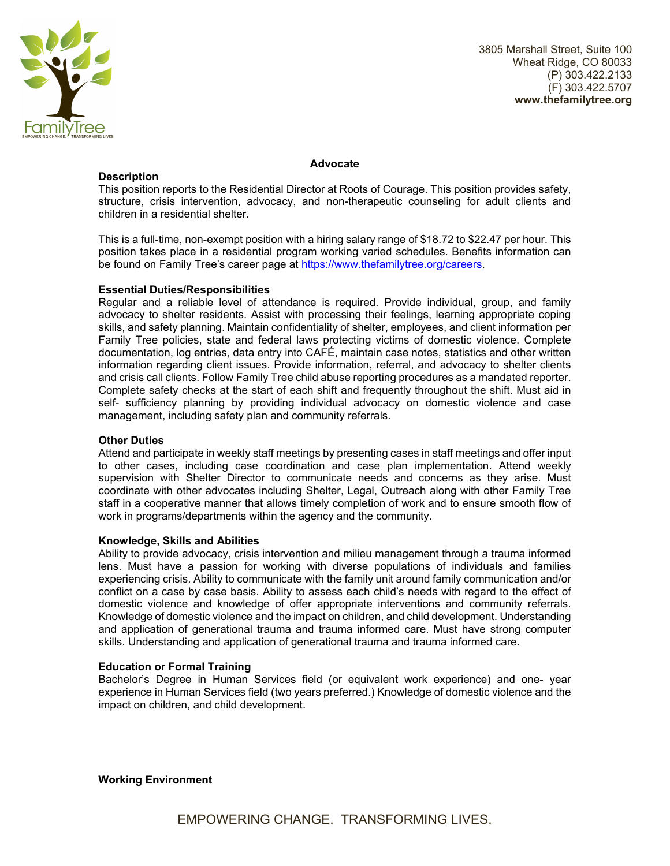

#### **Advocate**

**Description** 

This position reports to the Residential Director at Roots of Courage. This position provides safety, structure, crisis intervention, advocacy, and non-therapeutic counseling for adult clients and children in a residential shelter.

This is a full-time, non-exempt position with a hiring salary range of \$18.72 to \$22.47 per hour. This position takes place in a residential program working varied schedules. Benefits information can be found on Family Tree's career page at https://www.thefamilytree.org/careers.

# **Essential Duties/Responsibilities**

Regular and a reliable level of attendance is required. Provide individual, group, and family advocacy to shelter residents. Assist with processing their feelings, learning appropriate coping skills, and safety planning. Maintain confidentiality of shelter, employees, and client information per Family Tree policies, state and federal laws protecting victims of domestic violence. Complete documentation, log entries, data entry into CAFÉ, maintain case notes, statistics and other written information regarding client issues. Provide information, referral, and advocacy to shelter clients and crisis call clients. Follow Family Tree child abuse reporting procedures as a mandated reporter. Complete safety checks at the start of each shift and frequently throughout the shift. Must aid in self- sufficiency planning by providing individual advocacy on domestic violence and case management, including safety plan and community referrals.

## **Other Duties**

Attend and participate in weekly staff meetings by presenting cases in staff meetings and offer input to other cases, including case coordination and case plan implementation. Attend weekly supervision with Shelter Director to communicate needs and concerns as they arise. Must coordinate with other advocates including Shelter, Legal, Outreach along with other Family Tree staff in a cooperative manner that allows timely completion of work and to ensure smooth flow of work in programs/departments within the agency and the community.

## **Knowledge, Skills and Abilities**

Ability to provide advocacy, crisis intervention and milieu management through a trauma informed lens. Must have a passion for working with diverse populations of individuals and families experiencing crisis. Ability to communicate with the family unit around family communication and/or conflict on a case by case basis. Ability to assess each child's needs with regard to the effect of domestic violence and knowledge of offer appropriate interventions and community referrals. Knowledge of domestic violence and the impact on children, and child development. Understanding and application of generational trauma and trauma informed care. Must have strong computer skills. Understanding and application of generational trauma and trauma informed care.

## **Education or Formal Training**

Bachelor's Degree in Human Services field (or equivalent work experience) and one- year experience in Human Services field (two years preferred.) Knowledge of domestic violence and the impact on children, and child development.

## **Working Environment**